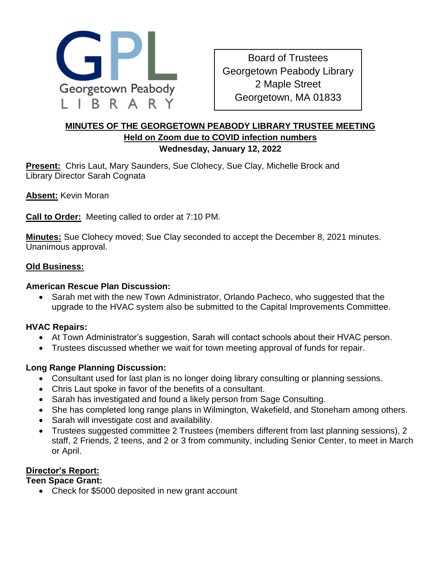

Board of Trustees Georgetown Peabody Library 2 Maple Street Georgetown, MA 01833

### **MINUTES OF THE GEORGETOWN PEABODY LIBRARY TRUSTEE MEETING Held on Zoom due to COVID infection numbers Wednesday, January 12, 2022**

**Present:** Chris Laut, Mary Saunders, Sue Clohecy, Sue Clay, Michelle Brock and Library Director Sarah Cognata

**Absent:** Kevin Moran

**Call to Order:** Meeting called to order at 7:10 PM.

**Minutes:** Sue Clohecy moved; Sue Clay seconded to accept the December 8, 2021 minutes. Unanimous approval.

#### **Old Business:**

#### **American Rescue Plan Discussion:**

 Sarah met with the new Town Administrator, Orlando Pacheco, who suggested that the upgrade to the HVAC system also be submitted to the Capital Improvements Committee.

### **HVAC Repairs:**

- At Town Administrator's suggestion, Sarah will contact schools about their HVAC person.
- Trustees discussed whether we wait for town meeting approval of funds for repair.

### **Long Range Planning Discussion:**

- Consultant used for last plan is no longer doing library consulting or planning sessions.
- Chris Laut spoke in favor of the benefits of a consultant.
- Sarah has investigated and found a likely person from Sage Consulting.
- She has completed long range plans in Wilmington, Wakefield, and Stoneham among others.
- Sarah will investigate cost and availability.
- Trustees suggested committee 2 Trustees (members different from last planning sessions), 2 staff, 2 Friends, 2 teens, and 2 or 3 from community, including Senior Center, to meet in March or April.

### **Director's Report:**

#### **Teen Space Grant:**

• Check for \$5000 deposited in new grant account